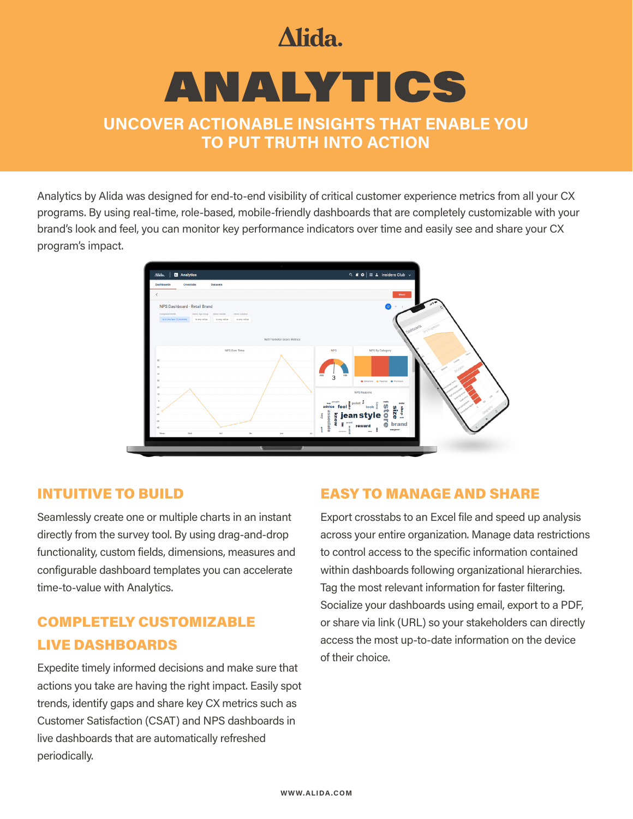# Alida.

# ANALYTICS

### **UNCOVER ACTIONABLE INSIGHTS THAT ENABLE YOU TO PUT TRUTH INTO ACTION**

Analytics by Alida was designed for end-to-end visibility of critical customer experience metrics from all your CX programs. By using real-time, role-based, mobile-friendly dashboards that are completely customizable with your brand's look and feel, you can monitor key performance indicators over time and easily see and share your CX program's impact.



#### INTUITIVE TO BUILD

Seamlessly create one or multiple charts in an instant directly from the survey tool. By using drag-and-drop functionality, custom fields, dimensions, measures and configurable dashboard templates you can accelerate time-to-value with Analytics.

# COMPLETELY CUSTOMIZABLE LIVE DASHBOARDS

Expedite timely informed decisions and make sure that actions you take are having the right impact. Easily spot trends, identify gaps and share key CX metrics such as Customer Satisfaction (CSAT) and NPS dashboards in live dashboards that are automatically refreshed periodically.

#### EASY TO MANAGE AND SHARE

Export crosstabs to an Excel file and speed up analysis across your entire organization. Manage data restrictions to control access to the specific information contained within dashboards following organizational hierarchies. Tag the most relevant information for faster filtering. Socialize your dashboards using email, export to a PDF, or share via link (URL) so your stakeholders can directly access the most up-to-date information on the device of their choice.